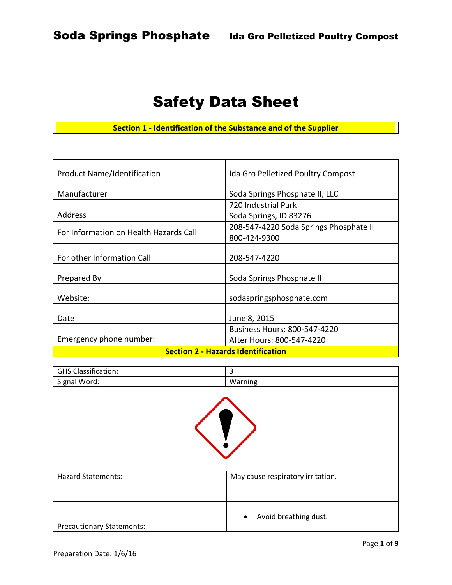# Safety Data Sheet

**Section 1 - Identification of the Substance and of the Supplier**

| <b>Product Name/Identification</b>        | Ida Gro Pelletized Poultry Compost     |  |
|-------------------------------------------|----------------------------------------|--|
|                                           |                                        |  |
| Manufacturer                              | Soda Springs Phosphate II, LLC         |  |
|                                           | 720 Industrial Park                    |  |
| Address                                   | Soda Springs, ID 83276                 |  |
|                                           | 208-547-4220 Soda Springs Phosphate II |  |
| For Information on Health Hazards Call    | 800-424-9300                           |  |
|                                           |                                        |  |
| For other Information Call                | 208-547-4220                           |  |
|                                           |                                        |  |
| Prepared By                               | Soda Springs Phosphate II              |  |
|                                           |                                        |  |
| Website:                                  | sodaspringsphosphate.com               |  |
|                                           |                                        |  |
| Date                                      | June 8, 2015                           |  |
|                                           | <b>Business Hours: 800-547-4220</b>    |  |
| Emergency phone number:                   | After Hours: 800-547-4220              |  |
| <b>Section 2 - Hazards Identification</b> |                                        |  |

| <b>GHS Classification:</b>       | 3                                  |
|----------------------------------|------------------------------------|
| Signal Word:                     | Warning                            |
|                                  |                                    |
| <b>Hazard Statements:</b>        | May cause respiratory irritation.  |
|                                  |                                    |
| <b>Precautionary Statements:</b> | Avoid breathing dust.<br>$\bullet$ |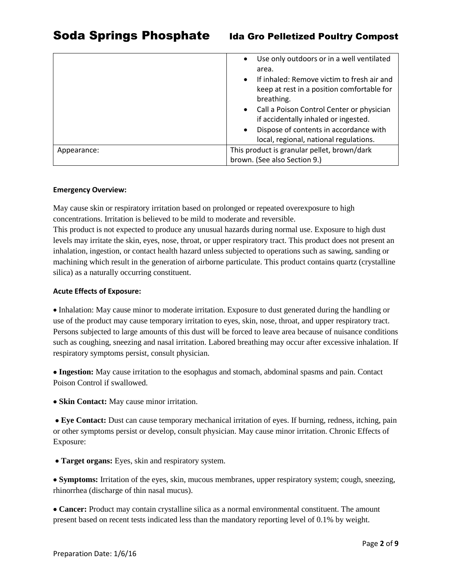|             | Use only outdoors or in a well ventilated<br>$\bullet$                                                         |  |
|-------------|----------------------------------------------------------------------------------------------------------------|--|
|             | area.<br>If inhaled: Remove victim to fresh air and<br>$\bullet$<br>keep at rest in a position comfortable for |  |
|             | breathing.<br>Call a Poison Control Center or physician<br>$\bullet$<br>if accidentally inhaled or ingested.   |  |
|             | Dispose of contents in accordance with<br>$\bullet$<br>local, regional, national regulations.                  |  |
| Appearance: | This product is granular pellet, brown/dark<br>brown. (See also Section 9.)                                    |  |

#### **Emergency Overview:**

May cause skin or respiratory irritation based on prolonged or repeated overexposure to high concentrations. Irritation is believed to be mild to moderate and reversible.

This product is not expected to produce any unusual hazards during normal use. Exposure to high dust levels may irritate the skin, eyes, nose, throat, or upper respiratory tract. This product does not present an inhalation, ingestion, or contact health hazard unless subjected to operations such as sawing, sanding or machining which result in the generation of airborne particulate. This product contains quartz (crystalline silica) as a naturally occurring constituent.

#### **Acute Effects of Exposure:**

 Inhalation: May cause minor to moderate irritation. Exposure to dust generated during the handling or use of the product may cause temporary irritation to eyes, skin, nose, throat, and upper respiratory tract. Persons subjected to large amounts of this dust will be forced to leave area because of nuisance conditions such as coughing, sneezing and nasal irritation. Labored breathing may occur after excessive inhalation. If respiratory symptoms persist, consult physician.

 **Ingestion:** May cause irritation to the esophagus and stomach, abdominal spasms and pain. Contact Poison Control if swallowed.

**Skin Contact:** May cause minor irritation.

 **Eye Contact:** Dust can cause temporary mechanical irritation of eyes. If burning, redness, itching, pain or other symptoms persist or develop, consult physician. May cause minor irritation. Chronic Effects of Exposure:

**Target organs:** Eyes, skin and respiratory system.

 **Symptoms:** Irritation of the eyes, skin, mucous membranes, upper respiratory system; cough, sneezing, rhinorrhea (discharge of thin nasal mucus).

 **Cancer:** Product may contain crystalline silica as a normal environmental constituent. The amount present based on recent tests indicated less than the mandatory reporting level of 0.1% by weight.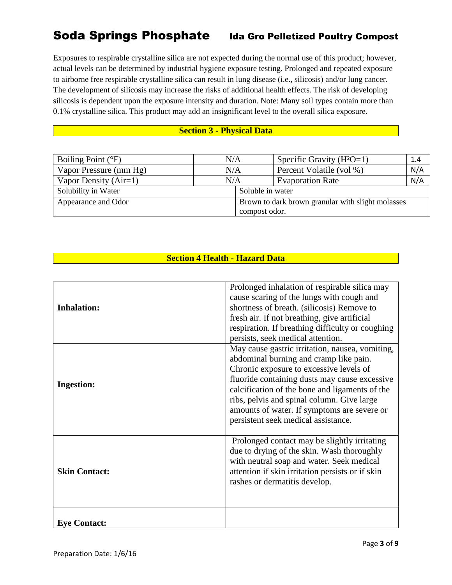# Soda Springs Phosphate Ida Gro Pelletized Poultry Compost

Exposures to respirable crystalline silica are not expected during the normal use of this product; however, actual levels can be determined by industrial hygiene exposure testing. Prolonged and repeated exposure to airborne free respirable crystalline silica can result in lung disease (i.e., silicosis) and/or lung cancer. The development of silicosis may increase the risks of additional health effects. The risk of developing silicosis is dependent upon the exposure intensity and duration. Note: Many soil types contain more than 0.1% crystalline silica. This product may add an insignificant level to the overall silica exposure.

### **Section 3 - Physical Data**

| Boiling Point $(^{\circ}F)$ | N/A |                  | Specific Gravity $(H^2O=1)$                                        | 1.4 |
|-----------------------------|-----|------------------|--------------------------------------------------------------------|-----|
| Vapor Pressure (mm Hg)      | N/A |                  | Percent Volatile (vol %)                                           | N/A |
| Vapor Density $(Air=1)$     | N/A |                  | <b>Evaporation Rate</b>                                            | N/A |
| Solubility in Water         |     | Soluble in water |                                                                    |     |
| Appearance and Odor         |     |                  | Brown to dark brown granular with slight molasses<br>compost odor. |     |

# **Section 4 Health - Hazard Data**

|                      | Prolonged inhalation of respirable silica may<br>cause scaring of the lungs with cough and |
|----------------------|--------------------------------------------------------------------------------------------|
| <b>Inhalation:</b>   | shortness of breath. (silicosis) Remove to                                                 |
|                      | fresh air. If not breathing, give artificial                                               |
|                      | respiration. If breathing difficulty or coughing                                           |
|                      | persists, seek medical attention.                                                          |
|                      | May cause gastric irritation, nausea, vomiting,                                            |
|                      | abdominal burning and cramp like pain.                                                     |
|                      | Chronic exposure to excessive levels of                                                    |
| <b>Ingestion:</b>    | fluoride containing dusts may cause excessive                                              |
|                      | calcification of the bone and ligaments of the                                             |
|                      | ribs, pelvis and spinal column. Give large                                                 |
|                      | amounts of water. If symptoms are severe or                                                |
|                      | persistent seek medical assistance.                                                        |
|                      |                                                                                            |
|                      | Prolonged contact may be slightly irritating                                               |
|                      | due to drying of the skin. Wash thoroughly                                                 |
|                      | with neutral soap and water. Seek medical                                                  |
| <b>Skin Contact:</b> | attention if skin irritation persists or if skin                                           |
|                      | rashes or dermatitis develop.                                                              |
|                      |                                                                                            |
|                      |                                                                                            |
| <b>Eye Contact:</b>  |                                                                                            |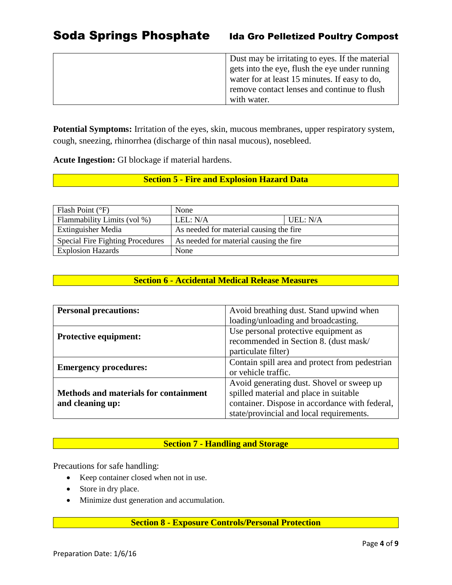| Dust may be irritating to eyes. If the material |
|-------------------------------------------------|
| gets into the eye, flush the eye under running  |
| water for at least 15 minutes. If easy to do,   |
| remove contact lenses and continue to flush     |
| with water.                                     |

**Potential Symptoms:** Irritation of the eyes, skin, mucous membranes, upper respiratory system, cough, sneezing, rhinorrhea (discharge of thin nasal mucous), nosebleed.

**Acute Ingestion:** GI blockage if material hardens.

# **Section 5 - Fire and Explosion Hazard Data**

| Flash Point $(^{\circ}F)$               | None                                    |          |
|-----------------------------------------|-----------------------------------------|----------|
| Flammability Limits (vol %)             | LEL: N/A                                | UEL: N/A |
| <b>Extinguisher Media</b>               | As needed for material causing the fire |          |
| <b>Special Fire Fighting Procedures</b> | As needed for material causing the fire |          |
| <b>Explosion Hazards</b>                | None                                    |          |

# **Section 6 - Accidental Medical Release Measures**

| <b>Personal precautions:</b>                 | Avoid breathing dust. Stand upwind when        |  |
|----------------------------------------------|------------------------------------------------|--|
|                                              | loading/unloading and broadcasting.            |  |
|                                              | Use personal protective equipment as           |  |
| <b>Protective equipment:</b>                 | recommended in Section 8. (dust mask/          |  |
|                                              | particulate filter)                            |  |
| <b>Emergency procedures:</b>                 | Contain spill area and protect from pedestrian |  |
|                                              | or vehicle traffic.                            |  |
|                                              | Avoid generating dust. Shovel or sweep up      |  |
| <b>Methods and materials for containment</b> | spilled material and place in suitable         |  |
| and cleaning up:                             | container. Dispose in accordance with federal, |  |
|                                              | state/provincial and local requirements.       |  |

# **Section 7 - Handling and Storage**

Precautions for safe handling:

- Keep container closed when not in use.
- Store in dry place.
- Minimize dust generation and accumulation.

# **Section 8 - Exposure Controls/Personal Protection**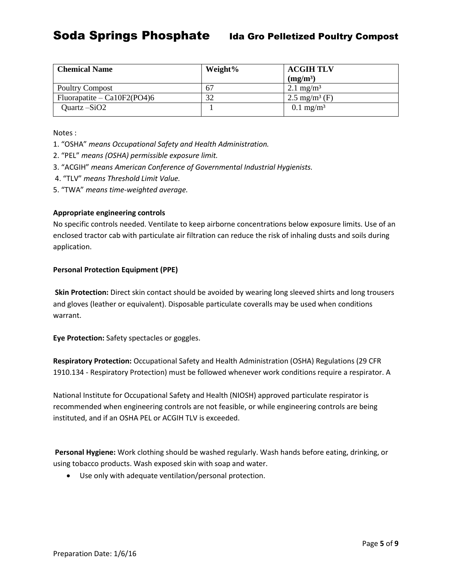| <b>Chemical Name</b>          | Weight% | <b>ACGIH TLV</b>         |
|-------------------------------|---------|--------------------------|
|                               |         | (mg/m <sup>3</sup> )     |
| <b>Poultry Compost</b>        | 67      | $2.1 \text{ mg/m}^3$     |
| Fluorapatite – $Ca10F2(PO4)6$ | 32      | $2.5 \text{ mg/m}^3$ (F) |
| Quartz $-SiO2$                |         | $0.1 \text{ mg/m}^3$     |

Notes :

- 1. "OSHA" *means Occupational Safety and Health Administration.*
- 2. "PEL" *means (OSHA) permissible exposure limit.*
- 3. "ACGIH" *means American Conference of Governmental Industrial Hygienists.*
- 4. "TLV" *means Threshold Limit Value.*
- 5. "TWA" *means time-weighted average.*

### **Appropriate engineering controls**

No specific controls needed. Ventilate to keep airborne concentrations below exposure limits. Use of an enclosed tractor cab with particulate air filtration can reduce the risk of inhaling dusts and soils during application.

#### **Personal Protection Equipment (PPE)**

**Skin Protection:** Direct skin contact should be avoided by wearing long sleeved shirts and long trousers and gloves (leather or equivalent). Disposable particulate coveralls may be used when conditions warrant.

**Eye Protection:** Safety spectacles or goggles.

**Respiratory Protection:** Occupational Safety and Health Administration (OSHA) Regulations (29 CFR 1910.134 - Respiratory Protection) must be followed whenever work conditions require a respirator. A

National Institute for Occupational Safety and Health (NIOSH) approved particulate respirator is recommended when engineering controls are not feasible, or while engineering controls are being instituted, and if an OSHA PEL or ACGIH TLV is exceeded.

**Personal Hygiene:** Work clothing should be washed regularly. Wash hands before eating, drinking, or using tobacco products. Wash exposed skin with soap and water.

Use only with adequate ventilation/personal protection.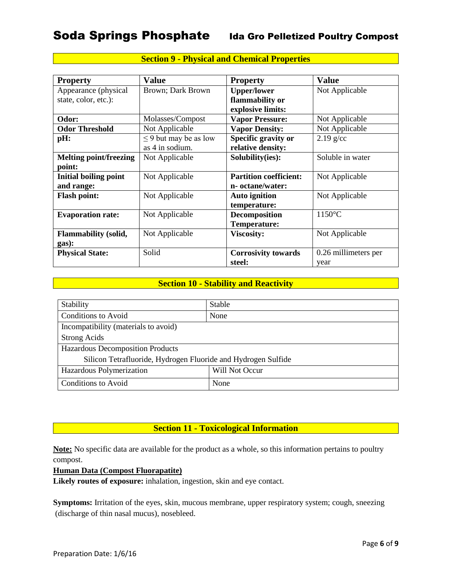| <b>Property</b>               | <b>Value</b>               | <b>Property</b>               | <b>Value</b>         |
|-------------------------------|----------------------------|-------------------------------|----------------------|
| Appearance (physical          | Brown; Dark Brown          | <b>Upper/lower</b>            | Not Applicable       |
| state, color, etc.):          |                            | flammability or               |                      |
|                               |                            | explosive limits:             |                      |
| Odor:                         | Molasses/Compost           | <b>Vapor Pressure:</b>        | Not Applicable       |
| <b>Odor Threshold</b>         | Not Applicable             | <b>Vapor Density:</b>         | Not Applicable       |
| pH:                           | $\leq$ 9 but may be as low | Specific gravity or           | $2.19$ g/cc          |
|                               | as 4 in sodium.            | relative density:             |                      |
| <b>Melting point/freezing</b> | Not Applicable             | Solubility(ies):              | Soluble in water     |
| point:                        |                            |                               |                      |
| <b>Initial boiling point</b>  | Not Applicable             | <b>Partition coefficient:</b> | Not Applicable       |
| and range:                    |                            | n- octane/water:              |                      |
| <b>Flash point:</b>           | Not Applicable             | <b>Auto ignition</b>          | Not Applicable       |
|                               |                            | temperature:                  |                      |
| <b>Evaporation rate:</b>      | Not Applicable             | <b>Decomposition</b>          | $1150^{\circ}$ C     |
|                               |                            | Temperature:                  |                      |
| <b>Flammability (solid,</b>   | Not Applicable             | <b>Viscosity:</b>             | Not Applicable       |
| gas):                         |                            |                               |                      |
| <b>Physical State:</b>        | Solid                      | <b>Corrosivity towards</b>    | 0.26 millimeters per |
|                               |                            | steel:                        | year                 |

# **Section 9 - Physical and Chemical Properties**

# **Section 10 - Stability and Reactivity**

| Stability                                                     | Stable         |  |
|---------------------------------------------------------------|----------------|--|
| <b>Conditions to Avoid</b>                                    | None           |  |
| Incompatibility (materials to avoid)                          |                |  |
| <b>Strong Acids</b>                                           |                |  |
| Hazardous Decomposition Products                              |                |  |
| Silicon Tetrafluoride, Hydrogen Fluoride and Hydrogen Sulfide |                |  |
| Hazardous Polymerization                                      | Will Not Occur |  |
| <b>Conditions to Avoid</b>                                    | None           |  |

# **Section 11 - Toxicological Information**

**Note:** No specific data are available for the product as a whole, so this information pertains to poultry compost.

### **Human Data (Compost Fluorapatite)**

**Likely routes of exposure:** inhalation, ingestion, skin and eye contact.

**Symptoms:** Irritation of the eyes, skin, mucous membrane, upper respiratory system; cough, sneezing (discharge of thin nasal mucus), nosebleed.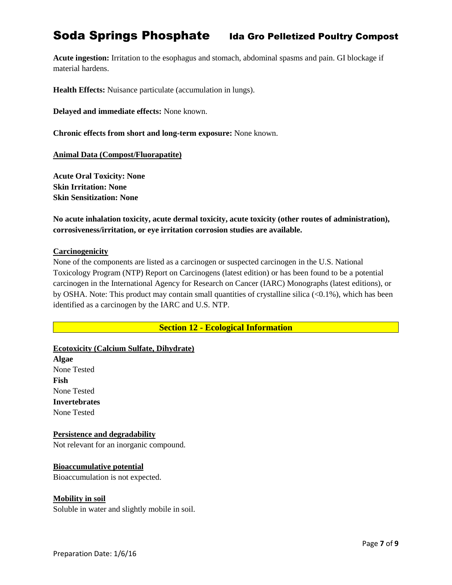# Soda Springs Phosphate Ida Gro Pelletized Poultry Compost

**Acute ingestion:** Irritation to the esophagus and stomach, abdominal spasms and pain. GI blockage if material hardens.

**Health Effects:** Nuisance particulate (accumulation in lungs).

**Delayed and immediate effects:** None known.

**Chronic effects from short and long-term exposure:** None known.

**Animal Data (Compost/Fluorapatite)**

**Acute Oral Toxicity: None Skin Irritation: None Skin Sensitization: None** 

**No acute inhalation toxicity, acute dermal toxicity, acute toxicity (other routes of administration), corrosiveness/irritation, or eye irritation corrosion studies are available.**

#### **Carcinogenicity**

None of the components are listed as a carcinogen or suspected carcinogen in the U.S. National Toxicology Program (NTP) Report on Carcinogens (latest edition) or has been found to be a potential carcinogen in the International Agency for Research on Cancer (IARC) Monographs (latest editions), or by OSHA. Note: This product may contain small quantities of crystalline silica  $( $0.1\%$ )$ , which has been identified as a carcinogen by the IARC and U.S. NTP.

**Section 12 - Ecological Information**

**Ecotoxicity (Calcium Sulfate, Dihydrate) Algae** None Tested **Fish** None Tested **Invertebrates**

None Tested

#### **Persistence and degradability**

Not relevant for an inorganic compound.

#### **Bioaccumulative potential**

Bioaccumulation is not expected.

#### **Mobility in soil**

Soluble in water and slightly mobile in soil.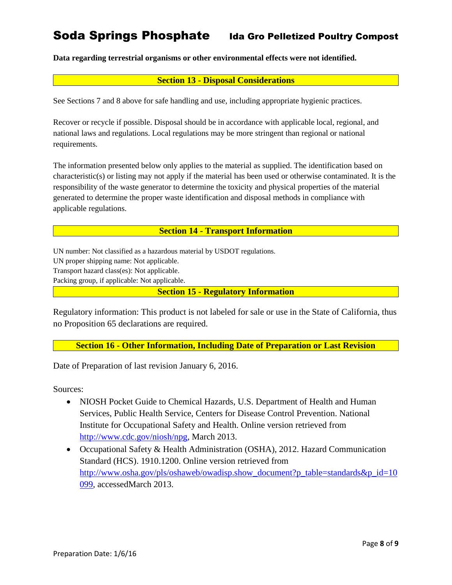# Soda Springs Phosphate Ida Gro Pelletized Poultry Compost

**Data regarding terrestrial organisms or other environmental effects were not identified.**

### **Section 13 - Disposal Considerations**

See Sections 7 and 8 above for safe handling and use, including appropriate hygienic practices.

Recover or recycle if possible. Disposal should be in accordance with applicable local, regional, and national laws and regulations. Local regulations may be more stringent than regional or national requirements.

The information presented below only applies to the material as supplied. The identification based on characteristic(s) or listing may not apply if the material has been used or otherwise contaminated. It is the responsibility of the waste generator to determine the toxicity and physical properties of the material generated to determine the proper waste identification and disposal methods in compliance with applicable regulations.

#### **Section 14 - Transport Information**

UN number: Not classified as a hazardous material by USDOT regulations. UN proper shipping name: Not applicable. Transport hazard class(es): Not applicable. Packing group, if applicable: Not applicable.

**Section 15 - Regulatory Information**

Regulatory information: This product is not labeled for sale or use in the State of California, thus no Proposition 65 declarations are required.

**Section 16 - Other Information, Including Date of Preparation or Last Revision**

Date of Preparation of last revision January 6, 2016.

Sources:

- NIOSH Pocket Guide to Chemical Hazards, U.S. Department of Health and Human Services, Public Health Service, Centers for Disease Control Prevention. National Institute for Occupational Safety and Health. Online version retrieved from [http://www.cdc.gov/niosh/npg,](http://www.cdc.gov/niosh/npg) March 2013.
- Occupational Safety & Health Administration (OSHA), 2012. Hazard Communication Standard (HCS). 1910.1200. Online version retrieved from [http://www.osha.gov/pls/oshaweb/owadisp.show\\_document?p\\_table=standards&p\\_id=10](http://www.osha.gov/pls/oshaweb/owadisp.show_document?p_table=standards&p_id=10099) [099,](http://www.osha.gov/pls/oshaweb/owadisp.show_document?p_table=standards&p_id=10099) accessedMarch 2013.